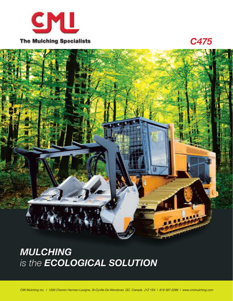

*C475*

**MULCHING** is the **ECOLOGICAL SOLUTION**